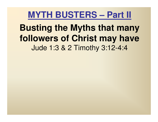#### **Busting the Myths that many followers of Christ may have**Jude 1:3 & 2 Timothy 3:12-4:4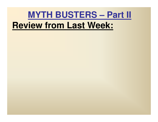### **MYTH BUSTERS – Part II Review from Last Week:**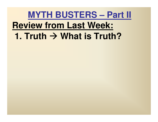# **MYTH BUSTERS – Part II Review from Last Week:1. Truth → What is Truth?**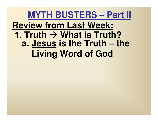#### **MYTH BUSTERS – Part II Review from Last Week:1. Truth → What is Truth?**<br>**2. Jesus is the Truth – tl a. Jesus is the Truth – the Living Word of God**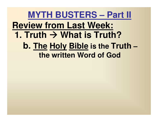#### **MYTH BUSTERS – Part II Review from Last Week:1. Truth → What is Truth?**<br> **h** The Holy Rible is the Tru **b. The Holy Bible is the Truth–the written Word of God**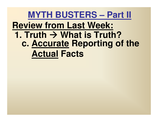### **MYTH BUSTERS – Part II Review from Last Week:1. Truth → What is Trut What is Truth? c. Accurate Reporting of the Actual Facts**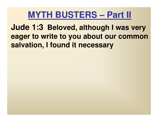**Jude 1:3 Beloved, although I was very eager to write to you about our common salvation, I found it necessary**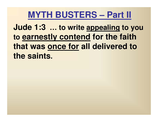**Jude 1:3 … to write appealing to you to earnestly contend for the faith that was once for all delivered to the saints.**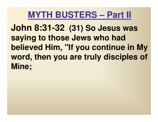**John 8:31-32 (31) So Jesus was saying to those Jews who had believed Him, "If you continue in My word, then you are truly disciples of Mine;**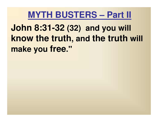**John 8:31-32 (32) and you will know the truth, and the truth will make you free."**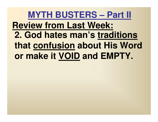## **MYTH BUSTERS – Part II Review from Last Week: 2. God hates man's traditions that confusion about His Word or make it VOID and EMPTY.**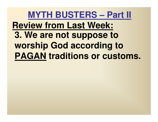## **MYTH BUSTERS – Part II Review from Last Week: 3. We are not suppose to worship God according to PAGAN traditions or customs.**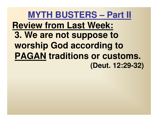### **MYTH BUSTERS – Part II Review from Last Week:3. We are not suppose to worship God according to PAGAN traditions or customs. (Deut. 12:29-32)**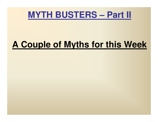

### **A Couple of Myths for this Week**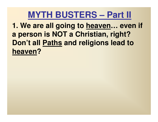**1. We are all going to heaven… even if a person is NOT a Christian, right? Don't all Paths and religions lead to heaven?**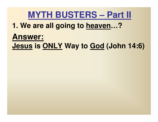#### **1. We are all going to heaven…?**

## **Answer:Jesus is ONLY Way to God (John 14:6)**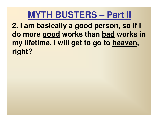**2. I am basically a good person, so if I do more good works than bad works in my lifetime, I will get to go to heaven, right?**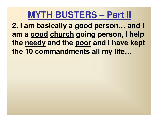**2. I am basically a good person… and I am a good church going person, I help the needy and the poor and I have kept the 10 commandments all my life…**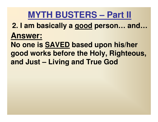**2. I am basically a good person… and…Answer:**

**No one is SAVED based upon his/her good works before the Holy, Righteous, and Just – Living and True God**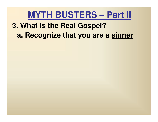#### **3. What is the Real Gospel?a. Recognize that you are a sinner**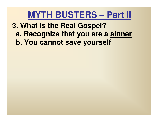**3. What is the Real Gospel? a. Recognize that you are a sinnerb. You cannot save yourself**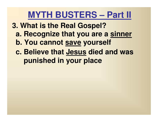- **3. What is the Real Gospel?**
	- **a. Recognize that you are a sinner**
	- **b. You cannot save yourself**
	- **c. Believe that Jesus died and was punished in your place**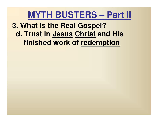#### **3. What is the Real Gospel? d. Trust in Jesus Christ and His finished work of redemption**